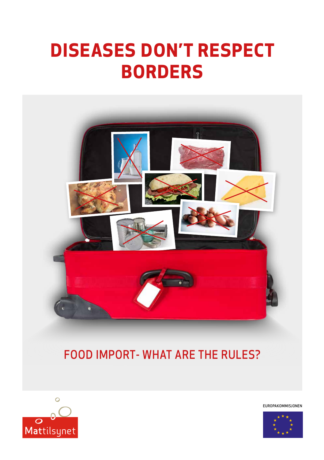



EUROPAKOMMISJONEN

# FOOD IMPORT- WHAT ARE THE RULES?



# **DISEASES DON'T RESPECT BORDERS**